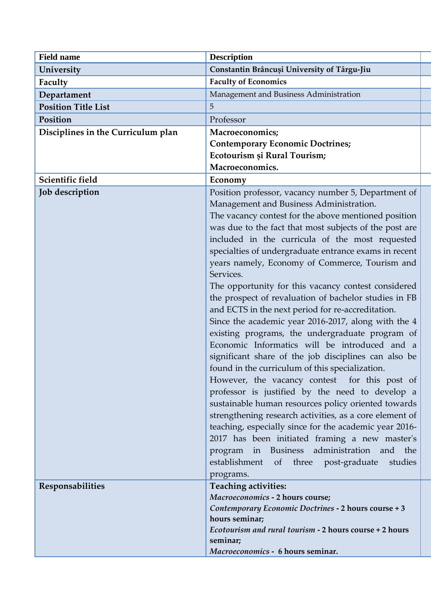| <b>Field name</b>                  | <b>Description</b>                                                                                                                                                                                                                                                                                                                                                                                                                                                                                                                                                                                                                                                                                                                                                                                                                                                                                                                                                                                                                                                                                                                                                                                                                                                                     |
|------------------------------------|----------------------------------------------------------------------------------------------------------------------------------------------------------------------------------------------------------------------------------------------------------------------------------------------------------------------------------------------------------------------------------------------------------------------------------------------------------------------------------------------------------------------------------------------------------------------------------------------------------------------------------------------------------------------------------------------------------------------------------------------------------------------------------------------------------------------------------------------------------------------------------------------------------------------------------------------------------------------------------------------------------------------------------------------------------------------------------------------------------------------------------------------------------------------------------------------------------------------------------------------------------------------------------------|
| University                         | Constantin Brâncuși University of Târgu-Jiu                                                                                                                                                                                                                                                                                                                                                                                                                                                                                                                                                                                                                                                                                                                                                                                                                                                                                                                                                                                                                                                                                                                                                                                                                                            |
| Faculty                            | <b>Faculty of Economics</b>                                                                                                                                                                                                                                                                                                                                                                                                                                                                                                                                                                                                                                                                                                                                                                                                                                                                                                                                                                                                                                                                                                                                                                                                                                                            |
| Departament                        | Management and Business Administration                                                                                                                                                                                                                                                                                                                                                                                                                                                                                                                                                                                                                                                                                                                                                                                                                                                                                                                                                                                                                                                                                                                                                                                                                                                 |
| <b>Position Title List</b>         | 5                                                                                                                                                                                                                                                                                                                                                                                                                                                                                                                                                                                                                                                                                                                                                                                                                                                                                                                                                                                                                                                                                                                                                                                                                                                                                      |
| Position                           | Professor                                                                                                                                                                                                                                                                                                                                                                                                                                                                                                                                                                                                                                                                                                                                                                                                                                                                                                                                                                                                                                                                                                                                                                                                                                                                              |
| Disciplines in the Curriculum plan | Macroeconomics;                                                                                                                                                                                                                                                                                                                                                                                                                                                                                                                                                                                                                                                                                                                                                                                                                                                                                                                                                                                                                                                                                                                                                                                                                                                                        |
|                                    | <b>Contemporary Economic Doctrines;</b>                                                                                                                                                                                                                                                                                                                                                                                                                                                                                                                                                                                                                                                                                                                                                                                                                                                                                                                                                                                                                                                                                                                                                                                                                                                |
|                                    | Ecotourism și Rural Tourism;                                                                                                                                                                                                                                                                                                                                                                                                                                                                                                                                                                                                                                                                                                                                                                                                                                                                                                                                                                                                                                                                                                                                                                                                                                                           |
|                                    | Macroeconomics.                                                                                                                                                                                                                                                                                                                                                                                                                                                                                                                                                                                                                                                                                                                                                                                                                                                                                                                                                                                                                                                                                                                                                                                                                                                                        |
| Scientific field                   | Economy                                                                                                                                                                                                                                                                                                                                                                                                                                                                                                                                                                                                                                                                                                                                                                                                                                                                                                                                                                                                                                                                                                                                                                                                                                                                                |
| Job description                    | Position professor, vacancy number 5, Department of<br>Management and Business Administration.<br>The vacancy contest for the above mentioned position<br>was due to the fact that most subjects of the post are<br>included in the curricula of the most requested<br>specialties of undergraduate entrance exams in recent<br>years namely, Economy of Commerce, Tourism and<br>Services.<br>The opportunity for this vacancy contest considered<br>the prospect of revaluation of bachelor studies in FB<br>and ECTS in the next period for re-accreditation.<br>Since the academic year 2016-2017, along with the 4<br>existing programs, the undergraduate program of<br>Economic Informatics will be introduced and a<br>significant share of the job disciplines can also be<br>found in the curriculum of this specialization.<br>However, the vacancy contest for this post of<br>professor is justified by the need to develop a<br>sustainable human resources policy oriented towards<br>strengthening research activities, as a core element of<br>teaching, especially since for the academic year 2016-<br>2017 has been initiated framing a new master's<br>program in Business administration and the<br>establishment of three post-graduate<br>studies<br>programs. |
| Responsabilities                   | Teaching activities:<br>Macroeconomics - 2 hours course;<br>Contemporary Economic Doctrines - 2 hours course + 3<br>hours seminar;<br>Ecotourism and rural tourism - 2 hours course + 2 hours<br>seminar;<br>Macroeconomics - 6 hours seminar.                                                                                                                                                                                                                                                                                                                                                                                                                                                                                                                                                                                                                                                                                                                                                                                                                                                                                                                                                                                                                                         |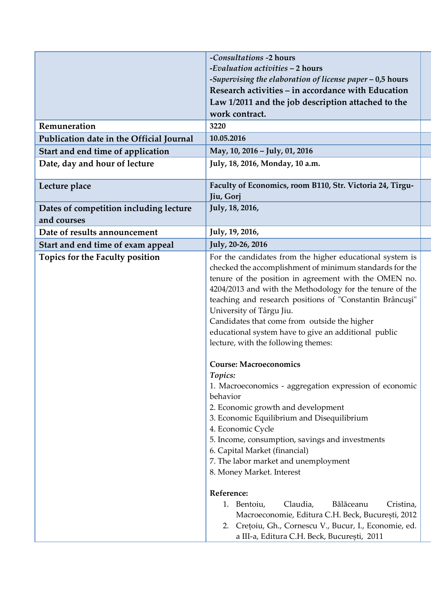|                                          | -Consultations -2 hours                                                                                                                                                                                                                                                                                                                                                                                                                                                                                                                                                                                                                                                                                                                                                                                                                |
|------------------------------------------|----------------------------------------------------------------------------------------------------------------------------------------------------------------------------------------------------------------------------------------------------------------------------------------------------------------------------------------------------------------------------------------------------------------------------------------------------------------------------------------------------------------------------------------------------------------------------------------------------------------------------------------------------------------------------------------------------------------------------------------------------------------------------------------------------------------------------------------|
|                                          | -Evaluation activities - 2 hours                                                                                                                                                                                                                                                                                                                                                                                                                                                                                                                                                                                                                                                                                                                                                                                                       |
|                                          | -Supervising the elaboration of license paper - 0,5 hours                                                                                                                                                                                                                                                                                                                                                                                                                                                                                                                                                                                                                                                                                                                                                                              |
|                                          | Research activities - in accordance with Education                                                                                                                                                                                                                                                                                                                                                                                                                                                                                                                                                                                                                                                                                                                                                                                     |
|                                          | Law 1/2011 and the job description attached to the                                                                                                                                                                                                                                                                                                                                                                                                                                                                                                                                                                                                                                                                                                                                                                                     |
|                                          | work contract.                                                                                                                                                                                                                                                                                                                                                                                                                                                                                                                                                                                                                                                                                                                                                                                                                         |
| Remuneration                             | 3220                                                                                                                                                                                                                                                                                                                                                                                                                                                                                                                                                                                                                                                                                                                                                                                                                                   |
| Publication date in the Official Journal | 10.05.2016                                                                                                                                                                                                                                                                                                                                                                                                                                                                                                                                                                                                                                                                                                                                                                                                                             |
| Start and end time of application        | May, 10, 2016 - July, 01, 2016                                                                                                                                                                                                                                                                                                                                                                                                                                                                                                                                                                                                                                                                                                                                                                                                         |
| Date, day and hour of lecture            | July, 18, 2016, Monday, 10 a.m.                                                                                                                                                                                                                                                                                                                                                                                                                                                                                                                                                                                                                                                                                                                                                                                                        |
| Lecture place                            | Faculty of Economics, room B110, Str. Victoria 24, Tîrgu-<br>Jiu, Gorj                                                                                                                                                                                                                                                                                                                                                                                                                                                                                                                                                                                                                                                                                                                                                                 |
| Dates of competition including lecture   | July, 18, 2016,                                                                                                                                                                                                                                                                                                                                                                                                                                                                                                                                                                                                                                                                                                                                                                                                                        |
| and courses                              |                                                                                                                                                                                                                                                                                                                                                                                                                                                                                                                                                                                                                                                                                                                                                                                                                                        |
| Date of results announcement             | July, 19, 2016,                                                                                                                                                                                                                                                                                                                                                                                                                                                                                                                                                                                                                                                                                                                                                                                                                        |
| Start and end time of exam appeal        | July, 20-26, 2016                                                                                                                                                                                                                                                                                                                                                                                                                                                                                                                                                                                                                                                                                                                                                                                                                      |
| Topics for the Faculty position          | For the candidates from the higher educational system is<br>checked the accomplishment of minimum standards for the<br>tenure of the position in agreement with the OMEN no.<br>4204/2013 and with the Methodology for the tenure of the<br>teaching and research positions of "Constantin Brâncuși"<br>University of Târgu Jiu.<br>Candidates that come from outside the higher<br>educational system have to give an additional public<br>lecture, with the following themes:<br><b>Course: Macroeconomics</b><br>Topics:<br>1. Macroeconomics - aggregation expression of economic<br>behavior<br>2. Economic growth and development<br>3. Economic Equilibrium and Disequilibrium<br>4. Economic Cycle<br>5. Income, consumption, savings and investments<br>6. Capital Market (financial)<br>7. The labor market and unemployment |
|                                          | 8. Money Market. Interest<br>Reference:<br>1. Bentoiu,<br>Claudia,<br>Bălăceanu<br>Cristina,<br>Macroeconomie, Editura C.H. Beck, București, 2012<br>2. Crețoiu, Gh., Cornescu V., Bucur, I., Economie, ed.<br>a III-a, Editura C.H. Beck, București, 2011                                                                                                                                                                                                                                                                                                                                                                                                                                                                                                                                                                             |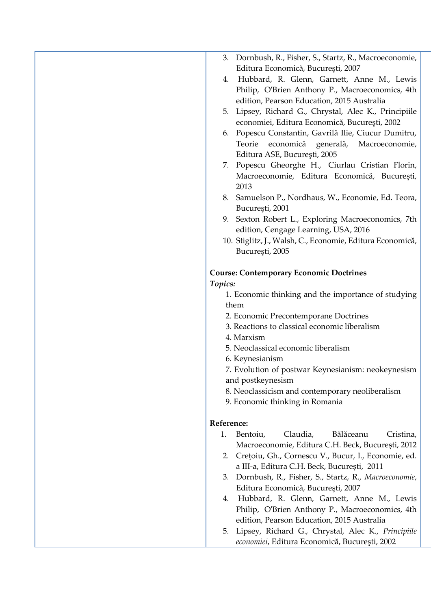| 3. Dornbush, R., Fisher, S., Startz, R., Macroeconomie,    |
|------------------------------------------------------------|
| Editura Economică, București, 2007                         |
| Hubbard, R. Glenn, Garnett, Anne M., Lewis<br>4.           |
| Philip, O'Brien Anthony P., Macroeconomics, 4th            |
| edition, Pearson Education, 2015 Australia                 |
| 5. Lipsey, Richard G., Chrystal, Alec K., Principiile      |
| economiei, Editura Economică, București, 2002              |
| Popescu Constantin, Gavrilă Ilie, Ciucur Dumitru,<br>6.    |
| economică generală, Macroeconomie,<br>Teorie               |
| Editura ASE, București, 2005                               |
| 7. Popescu Gheorghe H., Ciurlau Cristian Florin,           |
| Macroeconomie, Editura Economică, București,               |
| 2013                                                       |
| 8. Samuelson P., Nordhaus, W., Economie, Ed. Teora,        |
|                                                            |
| București, 2001                                            |
| 9. Sexton Robert L., Exploring Macroeconomics, 7th         |
| edition, Cengage Learning, USA, 2016                       |
| 10. Stiglitz, J., Walsh, C., Economie, Editura Economică,  |
| București, 2005                                            |
|                                                            |
| <b>Course: Contemporary Economic Doctrines</b>             |
| Topics:                                                    |
| 1. Economic thinking and the importance of studying        |
| them                                                       |
| 2. Economic Precontemporane Doctrines                      |
| 3. Reactions to classical economic liberalism              |
| 4. Marxism                                                 |
| 5. Neoclassical economic liberalism                        |
| 6. Keynesianism                                            |
| 7. Evolution of postwar Keynesianism: neokeynesism         |
| and postkeynesism                                          |
| 8. Neoclassicism and contemporary neoliberalism            |
| 9. Economic thinking in Romania                            |
|                                                            |
| Reference:                                                 |
| Bălăceanu<br>Bentoiu,<br>Claudia,<br>Cristina,<br>1.       |
| Macroeconomie, Editura C.H. Beck, București, 2012          |
| 2. Crețoiu, Gh., Cornescu V., Bucur, I., Economie, ed.     |
| a III-a, Editura C.H. Beck, București, 2011                |
| Dornbush, R., Fisher, S., Startz, R., Macroeconomie,<br>3. |
| Editura Economică, București, 2007                         |
| Hubbard, R. Glenn, Garnett, Anne M., Lewis<br>4.           |
| Philip, O'Brien Anthony P., Macroeconomics, 4th            |
| edition, Pearson Education, 2015 Australia                 |
| Lipsey, Richard G., Chrystal, Alec K., Principiile<br>5.   |
| economiei, Editura Economică, București, 2002              |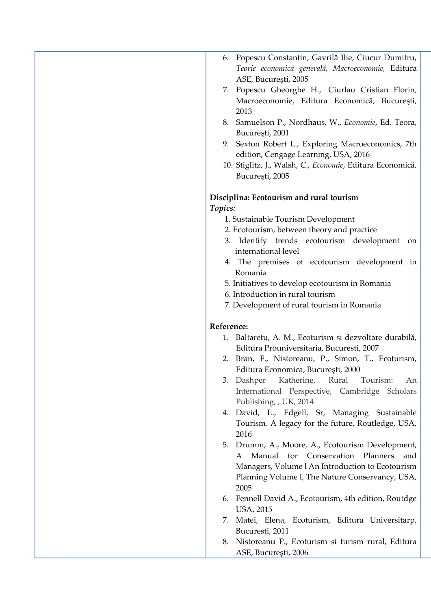| 6. Popescu Constantin, Gavrilă Ilie, Ciucur Dumitru,       |
|------------------------------------------------------------|
| Teorie economică generală, Macroeconomie, Editura          |
| ASE, București, 2005                                       |
| 7. Popescu Gheorghe H., Ciurlau Cristian Florin,           |
| Macroeconomie, Editura Economică, București,               |
| 2013                                                       |
| 8. Samuelson P., Nordhaus, W., Economie, Ed. Teora,        |
| București, 2001                                            |
| 9. Sexton Robert L., Exploring Macroeconomics, 7th         |
| edition, Cengage Learning, USA, 2016                       |
| 10. Stiglitz, J., Walsh, C., Economie, Editura Economică,  |
| București, 2005                                            |
|                                                            |
| Disciplina: Ecotourism and rural tourism                   |
| Topics:                                                    |
| 1. Sustainable Tourism Development                         |
| 2. Ecotourism, between theory and practice                 |
| 3. Identify trends ecotourism development<br><sub>on</sub> |
| international level                                        |
| 4. The premises of ecotourism development in               |
| Romania                                                    |
| 5. Initiatives to develop ecotourism in Romania            |
| 6. Introduction in rural tourism                           |
| 7. Development of rural tourism in Romania                 |
|                                                            |
| Reference:                                                 |
| 1. Baltaretu, A. M., Ecoturism si dezvoltare durabilă,     |
| Editura Prouniversitaria, Bucuresti, 2007                  |
| 2. Bran, F., Nistoreanu, P., Simon, T., Ecoturism,         |
| Editura Economica, București, 2000                         |
| 3.<br>Dashper<br>Katherine, Rural Tourism:<br>An           |
| International Perspective, Cambridge Scholars              |
| Publishing, , UK, 2014                                     |
| 4. David, L., Edgell, Sr, Managing Sustainable             |
| Tourism. A legacy for the future, Routledge, USA,          |
| 2016                                                       |
| 5. Drumm, A., Moore, A., Ecotourism Development,           |
| Manual for Conservation Planners<br>A<br>and               |
| Managers, Volume l An Introduction to Ecotourism           |
| Planning Volume I, The Nature Conservancy, USA,            |
| 2005                                                       |
| Fennell David A., Ecotourism, 4th edition, Routdge<br>6.   |
| USA, 2015                                                  |
| Matei, Elena, Ecoturism, Editura Universitarp,<br>7.       |
| Bucuresti, 2011                                            |
| Nistoreanu P., Ecoturism si turism rural, Editura<br>8.    |
| ASE, București, 2006                                       |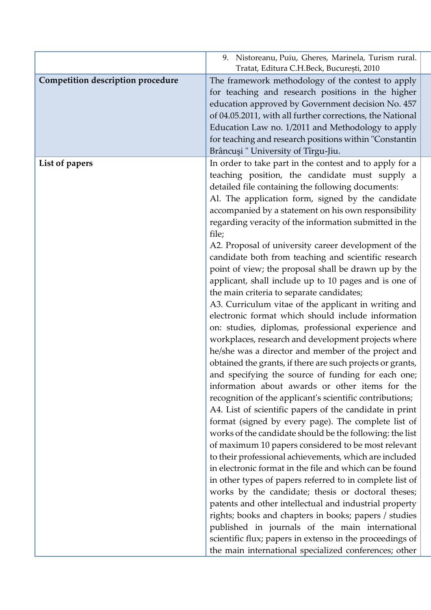|                                   | 9. Nistoreanu, Puiu, Gheres, Marinela, Turism rural.<br>Tratat, Editura C.H.Beck, București, 2010 |
|-----------------------------------|---------------------------------------------------------------------------------------------------|
| Competition description procedure | The framework methodology of the contest to apply                                                 |
|                                   | for teaching and research positions in the higher                                                 |
|                                   | education approved by Government decision No. 457                                                 |
|                                   | of 04.05.2011, with all further corrections, the National                                         |
|                                   | Education Law no. 1/2011 and Methodology to apply                                                 |
|                                   | for teaching and research positions within "Constantin                                            |
|                                   | Brâncuși " University of Tîrgu-Jiu.                                                               |
| List of papers                    | In order to take part in the contest and to apply for a                                           |
|                                   | teaching position, the candidate must supply a                                                    |
|                                   | detailed file containing the following documents:                                                 |
|                                   | Al. The application form, signed by the candidate                                                 |
|                                   | accompanied by a statement on his own responsibility                                              |
|                                   | regarding veracity of the information submitted in the                                            |
|                                   | file;                                                                                             |
|                                   | A2. Proposal of university career development of the                                              |
|                                   | candidate both from teaching and scientific research                                              |
|                                   | point of view; the proposal shall be drawn up by the                                              |
|                                   | applicant, shall include up to 10 pages and is one of                                             |
|                                   | the main criteria to separate candidates;                                                         |
|                                   | A3. Curriculum vitae of the applicant in writing and                                              |
|                                   | electronic format which should include information                                                |
|                                   | on: studies, diplomas, professional experience and                                                |
|                                   | workplaces, research and development projects where                                               |
|                                   | he/she was a director and member of the project and                                               |
|                                   | obtained the grants, if there are such projects or grants,                                        |
|                                   | and specifying the source of funding for each one;                                                |
|                                   | information about awards or other items for the                                                   |
|                                   | recognition of the applicant's scientific contributions;                                          |
|                                   | A4. List of scientific papers of the candidate in print                                           |
|                                   | format (signed by every page). The complete list of                                               |
|                                   | works of the candidate should be the following: the list                                          |
|                                   | of maximum 10 papers considered to be most relevant                                               |
|                                   | to their professional achievements, which are included                                            |
|                                   | in electronic format in the file and which can be found                                           |
|                                   | in other types of papers referred to in complete list of                                          |
|                                   | works by the candidate; thesis or doctoral theses;                                                |
|                                   | patents and other intellectual and industrial property                                            |
|                                   | rights; books and chapters in books; papers / studies                                             |
|                                   | published in journals of the main international                                                   |
|                                   | scientific flux; papers in extenso in the proceedings of                                          |
|                                   | the main international specialized conferences; other                                             |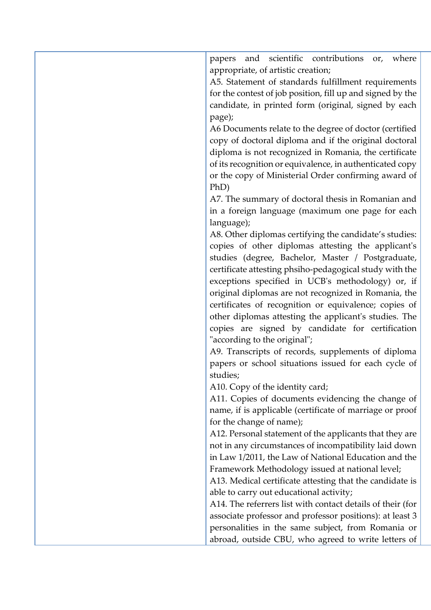| and scientific contributions<br>where<br>papers<br>or,<br>appropriate, of artistic creation; |
|----------------------------------------------------------------------------------------------|
|                                                                                              |
| A5. Statement of standards fulfillment requirements                                          |
| for the contest of job position, fill up and signed by the                                   |
| candidate, in printed form (original, signed by each                                         |
| page);                                                                                       |
| A6 Documents relate to the degree of doctor (certified                                       |
| copy of doctoral diploma and if the original doctoral                                        |
| diploma is not recognized in Romania, the certificate                                        |
| of its recognition or equivalence, in authenticated copy                                     |
| or the copy of Ministerial Order confirming award of                                         |
| PhD)                                                                                         |
| A7. The summary of doctoral thesis in Romanian and                                           |
| in a foreign language (maximum one page for each                                             |
| language);                                                                                   |
| A8. Other diplomas certifying the candidate's studies:                                       |
| copies of other diplomas attesting the applicant's                                           |
| studies (degree, Bachelor, Master / Postgraduate,                                            |
| certificate attesting phsiho-pedagogical study with the                                      |
| exceptions specified in UCB's methodology) or, if                                            |
| original diplomas are not recognized in Romania, the                                         |
| certificates of recognition or equivalence; copies of                                        |
| other diplomas attesting the applicant's studies. The                                        |
| copies are signed by candidate for certification                                             |
| "according to the original";                                                                 |
| A9. Transcripts of records, supplements of diploma                                           |
| papers or school situations issued for each cycle of                                         |
| studies;                                                                                     |
|                                                                                              |
| A10. Copy of the identity card;                                                              |
| A11. Copies of documents evidencing the change of                                            |
| name, if is applicable (certificate of marriage or proof                                     |
| for the change of name);                                                                     |
| A12. Personal statement of the applicants that they are                                      |
| not in any circumstances of incompatibility laid down                                        |
| in Law 1/2011, the Law of National Education and the                                         |
| Framework Methodology issued at national level;                                              |
| A13. Medical certificate attesting that the candidate is                                     |
| able to carry out educational activity;                                                      |
| A14. The referrers list with contact details of their (for                                   |
| associate professor and professor positions): at least 3                                     |
| personalities in the same subject, from Romania or                                           |
| abroad, outside CBU, who agreed to write letters of                                          |